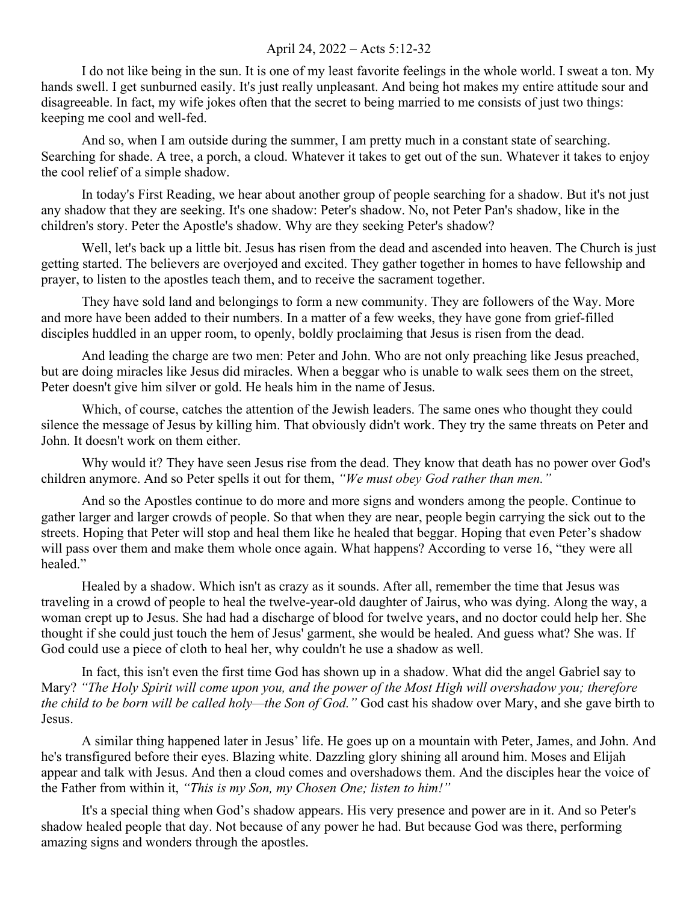## April 24, 2022 – Acts 5:12-32

I do not like being in the sun. It is one of my least favorite feelings in the whole world. I sweat a ton. My hands swell. I get sunburned easily. It's just really unpleasant. And being hot makes my entire attitude sour and disagreeable. In fact, my wife jokes often that the secret to being married to me consists of just two things: keeping me cool and well-fed.

And so, when I am outside during the summer, I am pretty much in a constant state of searching. Searching for shade. A tree, a porch, a cloud. Whatever it takes to get out of the sun. Whatever it takes to enjoy the cool relief of a simple shadow.

In today's First Reading, we hear about another group of people searching for a shadow. But it's not just any shadow that they are seeking. It's one shadow: Peter's shadow. No, not Peter Pan's shadow, like in the children's story. Peter the Apostle's shadow. Why are they seeking Peter's shadow?

Well, let's back up a little bit. Jesus has risen from the dead and ascended into heaven. The Church is just getting started. The believers are overjoyed and excited. They gather together in homes to have fellowship and prayer, to listen to the apostles teach them, and to receive the sacrament together.

They have sold land and belongings to form a new community. They are followers of the Way. More and more have been added to their numbers. In a matter of a few weeks, they have gone from grief-filled disciples huddled in an upper room, to openly, boldly proclaiming that Jesus is risen from the dead.

And leading the charge are two men: Peter and John. Who are not only preaching like Jesus preached, but are doing miracles like Jesus did miracles. When a beggar who is unable to walk sees them on the street, Peter doesn't give him silver or gold. He heals him in the name of Jesus.

Which, of course, catches the attention of the Jewish leaders. The same ones who thought they could silence the message of Jesus by killing him. That obviously didn't work. They try the same threats on Peter and John. It doesn't work on them either.

Why would it? They have seen Jesus rise from the dead. They know that death has no power over God's children anymore. And so Peter spells it out for them, *"We must obey God rather than men."*

And so the Apostles continue to do more and more signs and wonders among the people. Continue to gather larger and larger crowds of people. So that when they are near, people begin carrying the sick out to the streets. Hoping that Peter will stop and heal them like he healed that beggar. Hoping that even Peter's shadow will pass over them and make them whole once again. What happens? According to verse 16, "they were all healed."

Healed by a shadow. Which isn't as crazy as it sounds. After all, remember the time that Jesus was traveling in a crowd of people to heal the twelve-year-old daughter of Jairus, who was dying. Along the way, a woman crept up to Jesus. She had had a discharge of blood for twelve years, and no doctor could help her. She thought if she could just touch the hem of Jesus' garment, she would be healed. And guess what? She was. If God could use a piece of cloth to heal her, why couldn't he use a shadow as well.

In fact, this isn't even the first time God has shown up in a shadow. What did the angel Gabriel say to Mary? *"The Holy Spirit will come upon you, and the power of the Most High will overshadow you; therefore the child to be born will be called holy—the Son of God."* God cast his shadow over Mary, and she gave birth to Jesus.

A similar thing happened later in Jesus' life. He goes up on a mountain with Peter, James, and John. And he's transfigured before their eyes. Blazing white. Dazzling glory shining all around him. Moses and Elijah appear and talk with Jesus. And then a cloud comes and overshadows them. And the disciples hear the voice of the Father from within it, *"This is my Son, my Chosen One; listen to him!"*

It's a special thing when God's shadow appears. His very presence and power are in it. And so Peter's shadow healed people that day. Not because of any power he had. But because God was there, performing amazing signs and wonders through the apostles.